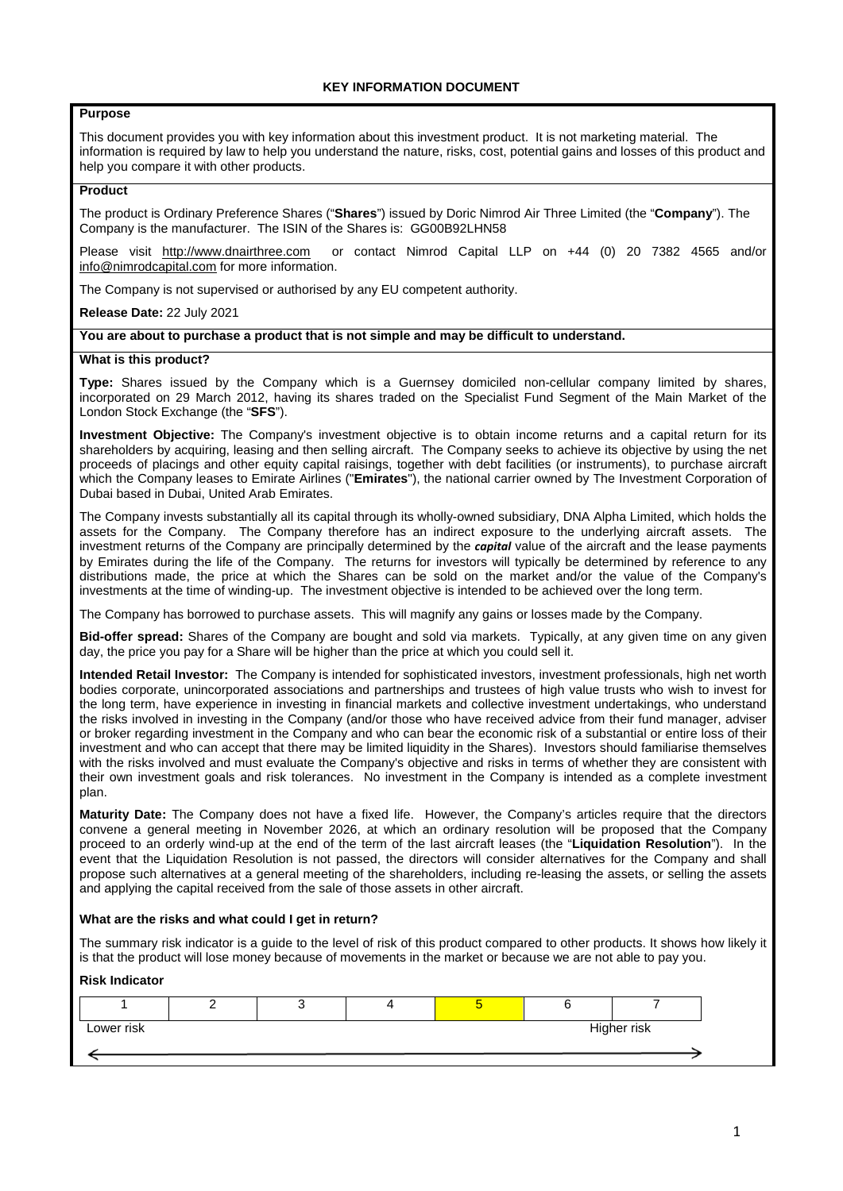# **Purpose**

This document provides you with key information about this investment product. It is not marketing material. The information is required by law to help you understand the nature, risks, cost, potential gains and losses of this product and help you compare it with other products.

### **Product**

The product is Ordinary Preference Shares ("**Shares**") issued by Doric Nimrod Air Three Limited (the "**Company**"). The Company is the manufacturer. The ISIN of the Shares is: GG00B92LHN58

Please visit http://www.dnairthree.com or contact Nimrod Capital LLP on +44 (0) 20 7382 4565 and/or info@nimrodcapital.com for more information.

The Company is not supervised or authorised by any EU competent authority.

### **Release Date:** 22 July 2021

# **You are about to purchase a product that is not simple and may be difficult to understand.**

#### **What is this product?**

**Type:** Shares issued by the Company which is a Guernsey domiciled non-cellular company limited by shares, incorporated on 29 March 2012, having its shares traded on the Specialist Fund Segment of the Main Market of the London Stock Exchange (the "**SFS**").

**Investment Objective:** The Company's investment objective is to obtain income returns and a capital return for its shareholders by acquiring, leasing and then selling aircraft. The Company seeks to achieve its objective by using the net proceeds of placings and other equity capital raisings, together with debt facilities (or instruments), to purchase aircraft which the Company leases to Emirate Airlines ("**Emirates**"), the national carrier owned by The Investment Corporation of Dubai based in Dubai, United Arab Emirates.

The Company invests substantially all its capital through its wholly-owned subsidiary, DNA Alpha Limited, which holds the assets for the Company. The Company therefore has an indirect exposure to the underlying aircraft assets. The investment returns of the Company are principally determined by the *capital* value of the aircraft and the lease payments by Emirates during the life of the Company. The returns for investors will typically be determined by reference to any distributions made, the price at which the Shares can be sold on the market and/or the value of the Company's investments at the time of winding-up. The investment objective is intended to be achieved over the long term.

The Company has borrowed to purchase assets. This will magnify any gains or losses made by the Company.

**Bid-offer spread:** Shares of the Company are bought and sold via markets. Typically, at any given time on any given day, the price you pay for a Share will be higher than the price at which you could sell it.

**Intended Retail Investor:** The Company is intended for sophisticated investors, investment professionals, high net worth bodies corporate, unincorporated associations and partnerships and trustees of high value trusts who wish to invest for the long term, have experience in investing in financial markets and collective investment undertakings, who understand the risks involved in investing in the Company (and/or those who have received advice from their fund manager, adviser or broker regarding investment in the Company and who can bear the economic risk of a substantial or entire loss of their investment and who can accept that there may be limited liquidity in the Shares). Investors should familiarise themselves with the risks involved and must evaluate the Company's objective and risks in terms of whether they are consistent with their own investment goals and risk tolerances. No investment in the Company is intended as a complete investment plan.

**Maturity Date:** The Company does not have a fixed life. However, the Company's articles require that the directors convene a general meeting in November 2026, at which an ordinary resolution will be proposed that the Company proceed to an orderly wind-up at the end of the term of the last aircraft leases (the "**Liquidation Resolution**"). In the event that the Liquidation Resolution is not passed, the directors will consider alternatives for the Company and shall propose such alternatives at a general meeting of the shareholders, including re-leasing the assets, or selling the assets and applying the capital received from the sale of those assets in other aircraft.

#### **What are the risks and what could I get in return?**

The summary risk indicator is a guide to the level of risk of this product compared to other products. It shows how likely it is that the product will lose money because of movements in the market or because we are not able to pay you.

# **Risk Indicator**

| Lower risk | Higher risk |  |  |  |  |  |
|------------|-------------|--|--|--|--|--|
|            |             |  |  |  |  |  |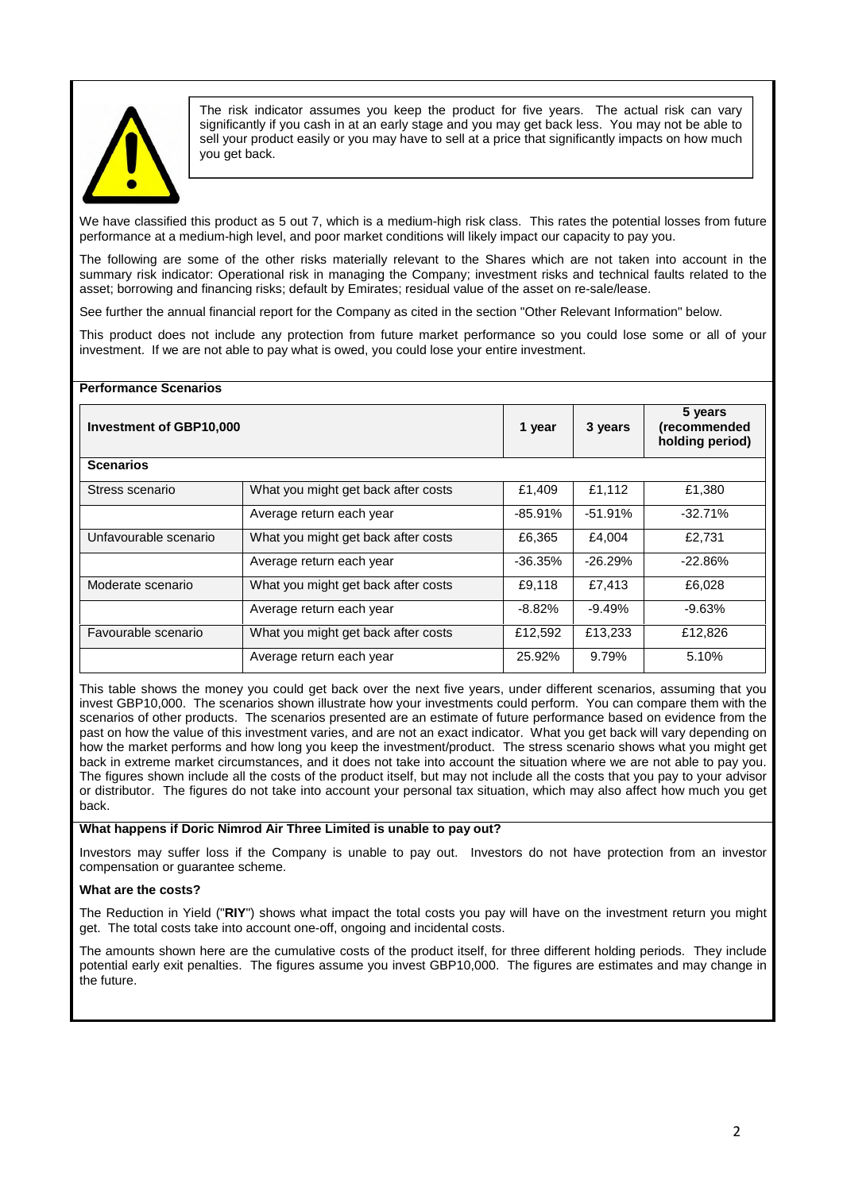

The risk indicator assumes you keep the product for five years. The actual risk can vary significantly if you cash in at an early stage and you may get back less. You may not be able to sell your product easily or you may have to sell at a price that significantly impacts on how much you get back.

We have classified this product as 5 out 7, which is a medium-high risk class. This rates the potential losses from future performance at a medium-high level, and poor market conditions will likely impact our capacity to pay you.

The following are some of the other risks materially relevant to the Shares which are not taken into account in the summary risk indicator: Operational risk in managing the Company; investment risks and technical faults related to the asset; borrowing and financing risks; default by Emirates; residual value of the asset on re-sale/lease.

See further the annual financial report for the Company as cited in the section "Other Relevant Information" below.

This product does not include any protection from future market performance so you could lose some or all of your investment. If we are not able to pay what is owed, you could lose your entire investment.

| <b>Performance Scenarios</b> |                                     |           |                                            |           |  |
|------------------------------|-------------------------------------|-----------|--------------------------------------------|-----------|--|
| Investment of GBP10,000      | 1 year                              | 3 years   | 5 years<br>(recommended<br>holding period) |           |  |
| <b>Scenarios</b>             |                                     |           |                                            |           |  |
| Stress scenario              | What you might get back after costs | £1,409    | £1,112                                     | £1,380    |  |
|                              | Average return each year            | $-85.91%$ | $-51.91\%$                                 | $-32.71%$ |  |
| Unfavourable scenario        | What you might get back after costs | £6,365    | £4,004                                     | £2,731    |  |
|                              | Average return each year            | $-36.35%$ | $-26.29%$                                  | $-22.86%$ |  |
| Moderate scenario            | What you might get back after costs | £9,118    | £7.413                                     | £6,028    |  |
|                              | Average return each year            | $-8.82\%$ | $-9.49%$                                   | $-9.63%$  |  |
| Favourable scenario          | What you might get back after costs | £12,592   | £13,233                                    | £12,826   |  |
|                              | Average return each year            | 25.92%    | 9.79%                                      | 5.10%     |  |

This table shows the money you could get back over the next five years, under different scenarios, assuming that you invest GBP10,000. The scenarios shown illustrate how your investments could perform. You can compare them with the scenarios of other products. The scenarios presented are an estimate of future performance based on evidence from the past on how the value of this investment varies, and are not an exact indicator. What you get back will vary depending on how the market performs and how long you keep the investment/product. The stress scenario shows what you might get back in extreme market circumstances, and it does not take into account the situation where we are not able to pay you. The figures shown include all the costs of the product itself, but may not include all the costs that you pay to your advisor or distributor. The figures do not take into account your personal tax situation, which may also affect how much you get back.

# **What happens if Doric Nimrod Air Three Limited is unable to pay out?**

Investors may suffer loss if the Company is unable to pay out. Investors do not have protection from an investor compensation or guarantee scheme.

# **What are the costs?**

The Reduction in Yield ("**RIY**") shows what impact the total costs you pay will have on the investment return you might get. The total costs take into account one-off, ongoing and incidental costs.

The amounts shown here are the cumulative costs of the product itself, for three different holding periods. They include potential early exit penalties. The figures assume you invest GBP10,000. The figures are estimates and may change in the future.